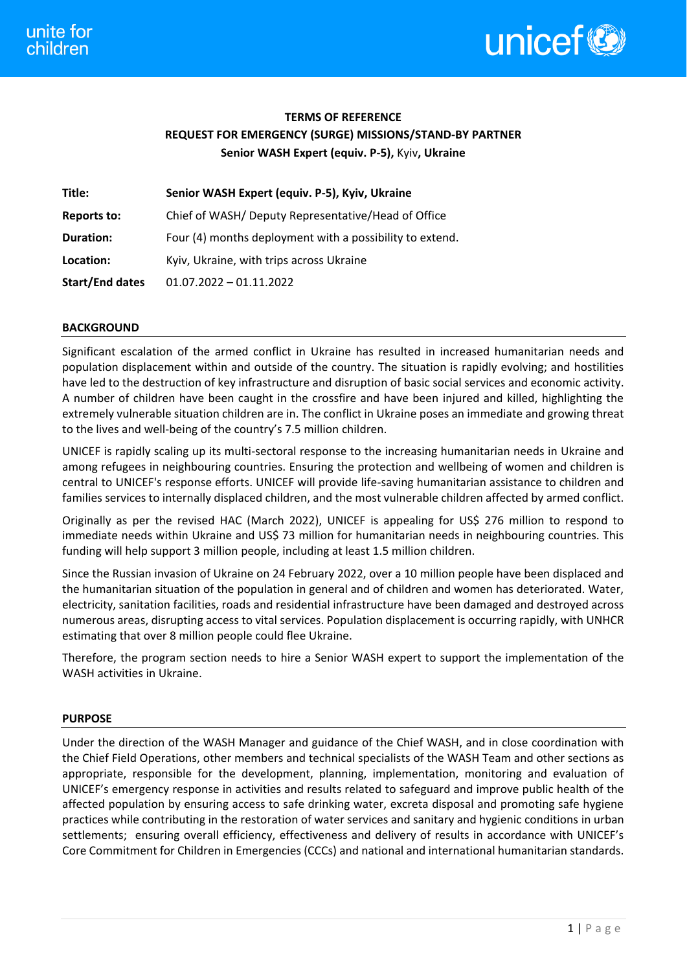

# **TERMS OF REFERENCE REQUEST FOR EMERGENCY (SURGE) MISSIONS/STAND-BY PARTNER Senior WASH Expert (equiv. P-5),** Kyiv**, Ukraine**

| Title:                 | Senior WASH Expert (equiv. P-5), Kyiv, Ukraine           |
|------------------------|----------------------------------------------------------|
| <b>Reports to:</b>     | Chief of WASH/ Deputy Representative/Head of Office      |
| Duration:              | Four (4) months deployment with a possibility to extend. |
| Location:              | Kyiv, Ukraine, with trips across Ukraine                 |
| <b>Start/End dates</b> | $01.07.2022 - 01.11.2022$                                |

# **BACKGROUND**

Significant escalation of the armed conflict in Ukraine has resulted in increased humanitarian needs and population displacement within and outside of the country. The situation is rapidly evolving; and hostilities have led to the destruction of key infrastructure and disruption of basic social services and economic activity. A number of children have been caught in the crossfire and have been injured and killed, highlighting the extremely vulnerable situation children are in. The conflict in Ukraine poses an immediate and growing threat to the lives and well-being of the country's 7.5 million children.

UNICEF is rapidly scaling up its multi-sectoral response to the increasing humanitarian needs in Ukraine and among refugees in neighbouring countries. Ensuring the protection and wellbeing of women and children is central to UNICEF's response efforts. UNICEF will provide life-saving humanitarian assistance to children and families services to internally displaced children, and the most vulnerable children affected by armed conflict.

Originally as per the revised HAC (March 2022), UNICEF is appealing for US\$ 276 million to respond to immediate needs within Ukraine and US\$ 73 million for humanitarian needs in neighbouring countries. This funding will help support 3 million people, including at least 1.5 million children.

Since the Russian invasion of Ukraine on 24 February 2022, over a 10 million people have been displaced and the humanitarian situation of the population in general and of children and women has deteriorated. Water, electricity, sanitation facilities, roads and residential infrastructure have been damaged and destroyed across numerous areas, disrupting access to vital services. Population displacement is occurring rapidly, with UNHCR estimating that over 8 million people could flee Ukraine.

Therefore, the program section needs to hire a Senior WASH expert to support the implementation of the WASH activities in Ukraine.

## **PURPOSE**

Under the direction of the WASH Manager and guidance of the Chief WASH, and in close coordination with the Chief Field Operations, other members and technical specialists of the WASH Team and other sections as appropriate, responsible for the development, planning, implementation, monitoring and evaluation of UNICEF's emergency response in activities and results related to safeguard and improve public health of the affected population by ensuring access to safe drinking water, excreta disposal and promoting safe hygiene practices while contributing in the restoration of water services and sanitary and hygienic conditions in urban settlements; ensuring overall efficiency, effectiveness and delivery of results in accordance with UNICEF's Core Commitment for Children in Emergencies (CCCs) and national and international humanitarian standards.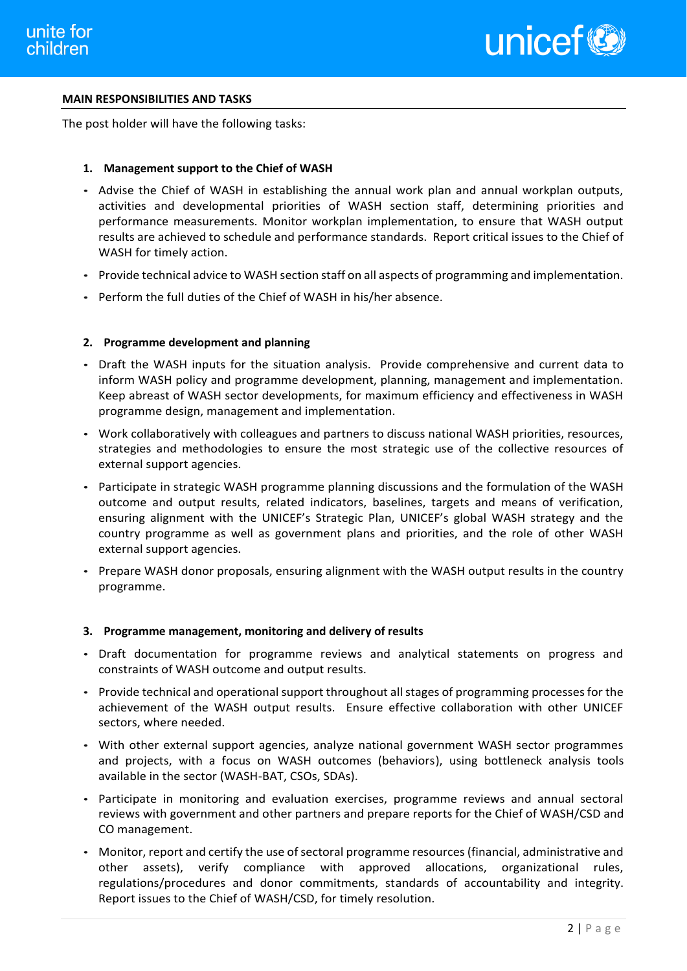

## **MAIN RESPONSIBILITIES AND TASKS**

The post holder will have the following tasks:

## **1. Management support to the Chief of WASH**

- Advise the Chief of WASH in establishing the annual work plan and annual workplan outputs, activities and developmental priorities of WASH section staff, determining priorities and performance measurements. Monitor workplan implementation, to ensure that WASH output results are achieved to schedule and performance standards. Report critical issues to the Chief of WASH for timely action.
- Provide technical advice to WASH section staff on all aspects of programming and implementation.
- Perform the full duties of the Chief of WASH in his/her absence.

## **2. Programme development and planning**

- Draft the WASH inputs for the situation analysis. Provide comprehensive and current data to inform WASH policy and programme development, planning, management and implementation. Keep abreast of WASH sector developments, for maximum efficiency and effectiveness in WASH programme design, management and implementation.
- Work collaboratively with colleagues and partners to discuss national WASH priorities, resources, strategies and methodologies to ensure the most strategic use of the collective resources of external support agencies.
- Participate in strategic WASH programme planning discussions and the formulation of the WASH outcome and output results, related indicators, baselines, targets and means of verification, ensuring alignment with the UNICEF's Strategic Plan, UNICEF's global WASH strategy and the country programme as well as government plans and priorities, and the role of other WASH external support agencies.
- Prepare WASH donor proposals, ensuring alignment with the WASH output results in the country programme.

#### **3. Programme management, monitoring and delivery of results**

- Draft documentation for programme reviews and analytical statements on progress and constraints of WASH outcome and output results.
- Provide technical and operational support throughout all stages of programming processes for the achievement of the WASH output results. Ensure effective collaboration with other UNICEF sectors, where needed.
- With other external support agencies, analyze national government WASH sector programmes and projects, with a focus on WASH outcomes (behaviors), using bottleneck analysis tools available in the sector (WASH-BAT, CSOs, SDAs).
- Participate in monitoring and evaluation exercises, programme reviews and annual sectoral reviews with government and other partners and prepare reports for the Chief of WASH/CSD and CO management.
- Monitor, report and certify the use of sectoral programme resources (financial, administrative and other assets), verify compliance with approved allocations, organizational rules, regulations/procedures and donor commitments, standards of accountability and integrity. Report issues to the Chief of WASH/CSD, for timely resolution.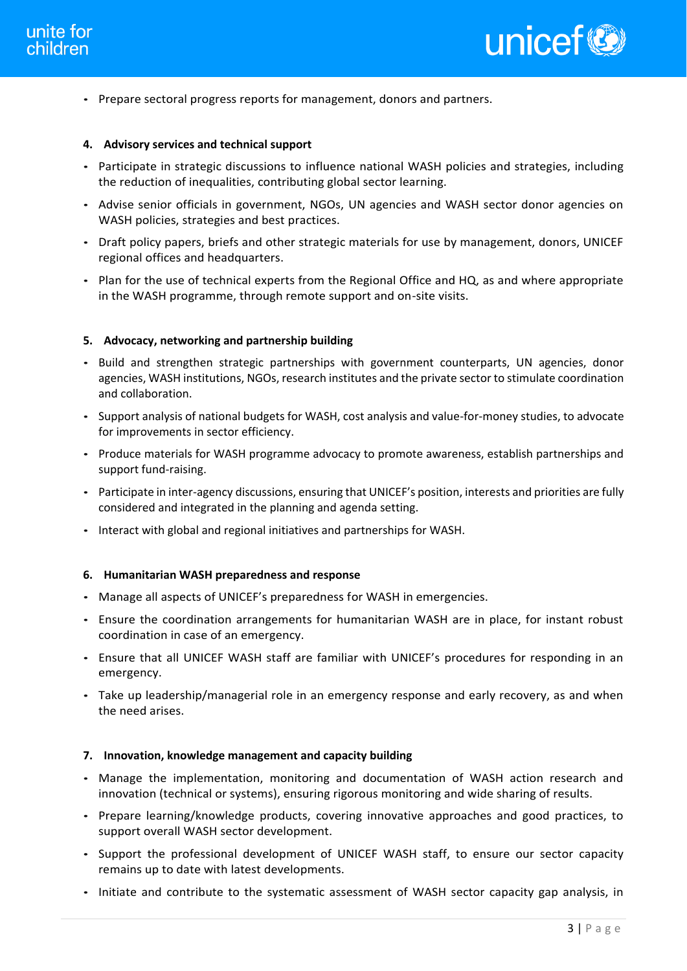

• Prepare sectoral progress reports for management, donors and partners.

## **4. Advisory services and technical support**

- Participate in strategic discussions to influence national WASH policies and strategies, including the reduction of inequalities, contributing global sector learning.
- Advise senior officials in government, NGOs, UN agencies and WASH sector donor agencies on WASH policies, strategies and best practices.
- Draft policy papers, briefs and other strategic materials for use by management, donors, UNICEF regional offices and headquarters.
- Plan for the use of technical experts from the Regional Office and HQ, as and where appropriate in the WASH programme, through remote support and on-site visits.

## **5. Advocacy, networking and partnership building**

- Build and strengthen strategic partnerships with government counterparts, UN agencies, donor agencies, WASH institutions, NGOs, research institutes and the private sector to stimulate coordination and collaboration.
- Support analysis of national budgets for WASH, cost analysis and value-for-money studies, to advocate for improvements in sector efficiency.
- Produce materials for WASH programme advocacy to promote awareness, establish partnerships and support fund-raising.
- Participate in inter-agency discussions, ensuring that UNICEF's position, interests and priorities are fully considered and integrated in the planning and agenda setting.
- Interact with global and regional initiatives and partnerships for WASH.

#### **6. Humanitarian WASH preparedness and response**

- Manage all aspects of UNICEF's preparedness for WASH in emergencies.
- Ensure the coordination arrangements for humanitarian WASH are in place, for instant robust coordination in case of an emergency.
- Ensure that all UNICEF WASH staff are familiar with UNICEF's procedures for responding in an emergency.
- Take up leadership/managerial role in an emergency response and early recovery, as and when the need arises.

#### **7. Innovation, knowledge management and capacity building**

- Manage the implementation, monitoring and documentation of WASH action research and innovation (technical or systems), ensuring rigorous monitoring and wide sharing of results.
- Prepare learning/knowledge products, covering innovative approaches and good practices, to support overall WASH sector development.
- Support the professional development of UNICEF WASH staff, to ensure our sector capacity remains up to date with latest developments.
- Initiate and contribute to the systematic assessment of WASH sector capacity gap analysis, in